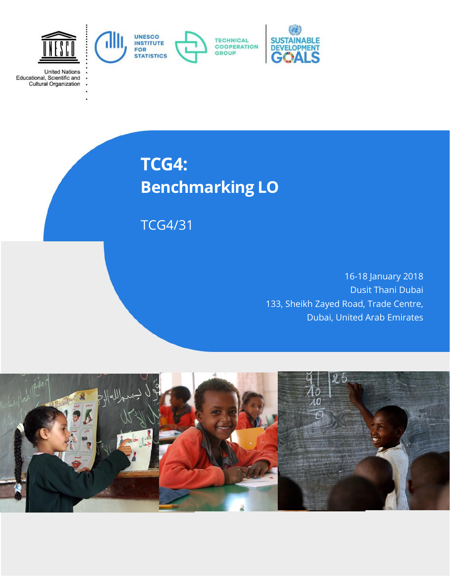

**TCG4: Benchmarking LO**

TCG4/31

16-18 January 2018 Dusit Thani Dubai 133, Sheikh Zayed Road, Trade Centre, Dubai, United Arab Emirates

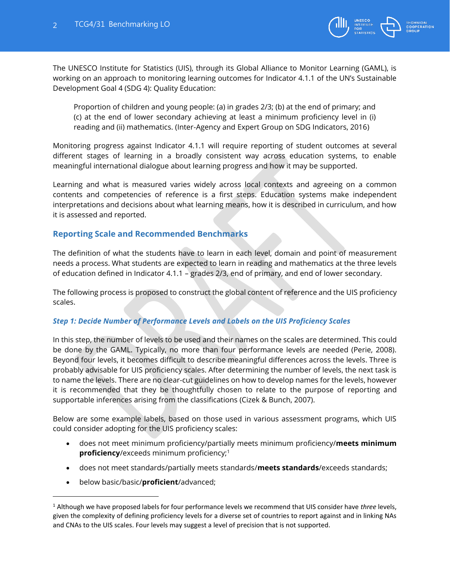

The UNESCO Institute for Statistics (UIS), through its Global Alliance to Monitor Learning (GAML), is working on an approach to monitoring learning outcomes for Indicator 4.1.1 of the UN's Sustainable Development Goal 4 (SDG 4): Quality Education:

Proportion of children and young people: (a) in grades 2/3; (b) at the end of primary; and (c) at the end of lower secondary achieving at least a minimum proficiency level in (i) reading and (ii) mathematics. (Inter-Agency and Expert Group on SDG Indicators, 2016)

Monitoring progress against Indicator 4.1.1 will require reporting of student outcomes at several different stages of learning in a broadly consistent way across education systems, to enable meaningful international dialogue about learning progress and how it may be supported.

Learning and what is measured varies widely across local contexts and agreeing on a common contents and competencies of reference is a first steps. Education systems make independent interpretations and decisions about what learning means, how it is described in curriculum, and how it is assessed and reported.

## **Reporting Scale and Recommended Benchmarks**

The definition of what the students have to learn in each level, domain and point of measurement needs a process. What students are expected to learn in reading and mathematics at the three levels of education defined in Indicator 4.1.1 – grades 2/3, end of primary, and end of lower secondary.

The following process is proposed to construct the global content of reference and the UIS proficiency scales.

#### *Step 1: Decide Number of Performance Levels and Labels on the UIS Proficiency Scales*

In this step, the number of levels to be used and their names on the scales are determined. This could be done by the GAML. Typically, no more than four performance levels are needed (Perie, 2008). Beyond four levels, it becomes difficult to describe meaningful differences across the levels. Three is probably advisable for UIS proficiency scales. After determining the number of levels, the next task is to name the levels. There are no clear-cut guidelines on how to develop names for the levels, however it is recommended that they be thoughtfully chosen to relate to the purpose of reporting and supportable inferences arising from the classifications (Cizek & Bunch, 2007).

Below are some example labels, based on those used in various assessment programs, which UIS could consider adopting for the UIS proficiency scales:

- does not meet minimum proficiency/partially meets minimum proficiency/**meets minimum proficiency**/exceeds minimum proficiency;<sup>1</sup>
- does not meet standards/partially meets standards/**meets standards**/exceeds standards;
- below basic/basic/**proficient**/advanced;

<sup>1</sup> Although we have proposed labels for four performance levels we recommend that UIS consider have *three* levels, given the complexity of defining proficiency levels for a diverse set of countries to report against and in linking NAs and CNAs to the UIS scales. Four levels may suggest a level of precision that is not supported.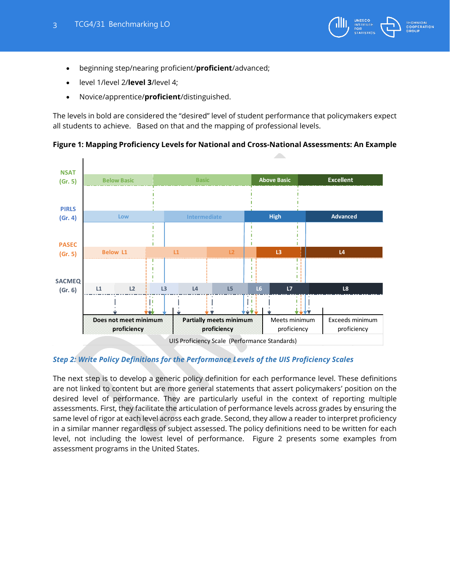

- beginning step/nearing proficient/**proficient**/advanced;
- level 1/level 2/**level 3**/level 4;
- Novice/apprentice/**proficient**/distinguished.

The levels in bold are considered the "desired" level of student performance that policymakers expect all students to achieve. Based on that and the mapping of professional levels.



## **Figure 1: Mapping Proficiency Levels for National and Cross-National Assessments: An Example**

## *Step 2: Write Policy Definitions for the Performance Levels of the UIS Proficiency Scales*

The next step is to develop a generic policy definition for each performance level. These definitions are not linked to content but are more general statements that assert policymakers' position on the desired level of performance. They are particularly useful in the context of reporting multiple assessments. First, they facilitate the articulation of performance levels across grades by ensuring the same level of rigor at each level across each grade. Second, they allow a reader to interpret proficiency in a similar manner regardless of subject assessed. The policy definitions need to be written for each level, not including the lowest level of performance. Figure 2 presents some examples from assessment programs in the United States.